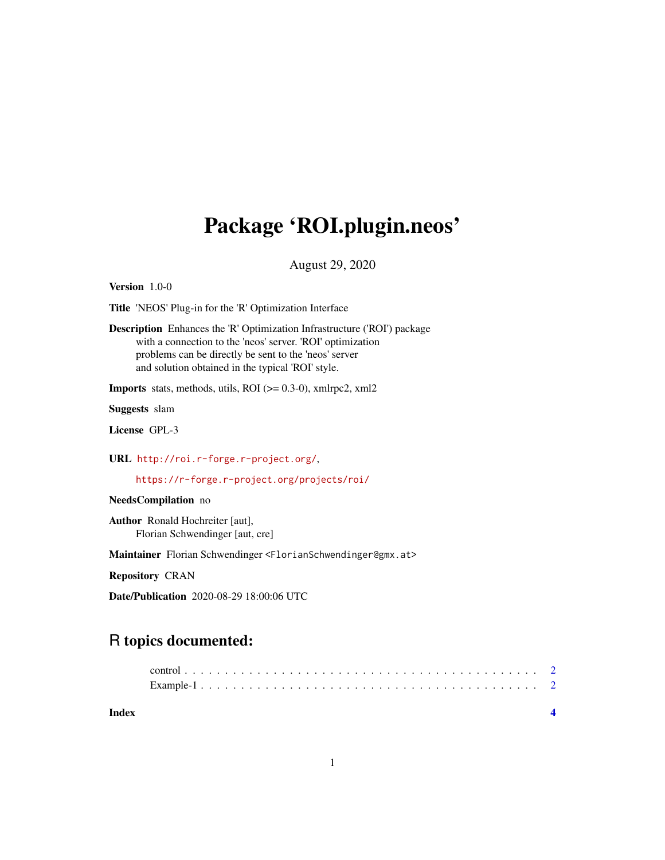## Package 'ROI.plugin.neos'

August 29, 2020

Version 1.0-0

Title 'NEOS' Plug-in for the 'R' Optimization Interface

Description Enhances the 'R' Optimization Infrastructure ('ROI') package with a connection to the 'neos' server. 'ROI' optimization problems can be directly be sent to the 'neos' server and solution obtained in the typical 'ROI' style.

**Imports** stats, methods, utils, ROI ( $>= 0.3-0$ ), xmlrpc2, xml2

Suggests slam

License GPL-3

URL <http://roi.r-forge.r-project.org/>,

<https://r-forge.r-project.org/projects/roi/>

NeedsCompilation no

Author Ronald Hochreiter [aut], Florian Schwendinger [aut, cre]

Maintainer Florian Schwendinger <FlorianSchwendinger@gmx.at>

Repository CRAN

Date/Publication 2020-08-29 18:00:06 UTC

### R topics documented: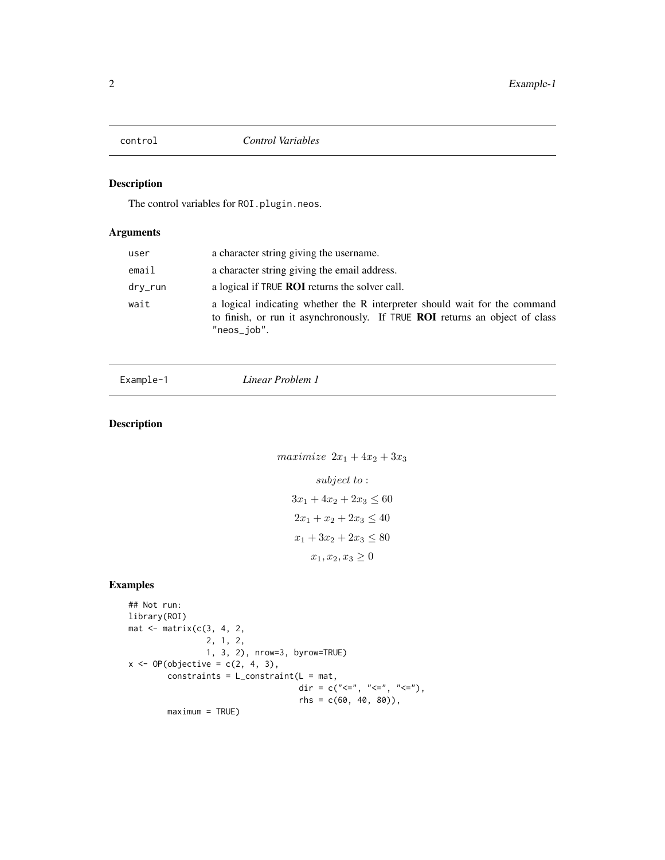<span id="page-1-0"></span>

#### Description

The control variables for ROI.plugin.neos.

#### Arguments

| user    | a character string giving the username.                                                                                                                                  |
|---------|--------------------------------------------------------------------------------------------------------------------------------------------------------------------------|
| email   | a character string giving the email address.                                                                                                                             |
| dry_run | a logical if TRUE <b>ROI</b> returns the solver call.                                                                                                                    |
| wait    | a logical indicating whether the R interpreter should wait for the command<br>to finish, or run it asynchronously. If TRUE ROI returns an object of class<br>"neos_job". |

Example-1 *Linear Problem 1*

#### Description

```
maximize 2x_1 + 4x_2 + 3x_3subject to :
   3x_1 + 4x_2 + 2x_3 \leq 602x_1 + x_2 + 2x_3 \leq 40x_1 + 3x_2 + 2x_3 \leq 80x_1, x_2, x_3 \geq 0
```
#### Examples

```
## Not run:
library(ROI)
mat < -matrix(c(3, 4, 2,2, 1, 2,
                1, 3, 2), nrow=3, byrow=TRUE)
x \leftarrow OP(objective = c(2, 4, 3),constraints = L_{constant}(L = mat,dir = c("<=", "<=", "<="),
                                    rhs = c(60, 40, 80)),
        maximum = TRUE)
```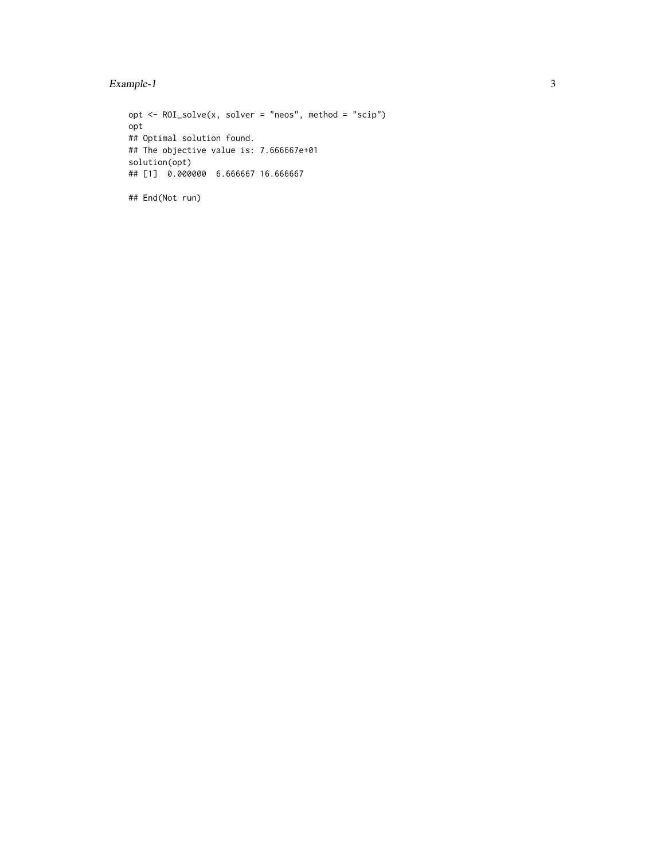opt  $\leq$  ROI\_solve(x, solver = "neos", method = "scip") opt ## Optimal solution found. ## The objective value is: 7.666667e+01 solution(opt) ## [1] 0.000000 6.666667 16.666667 ## End(Not run)